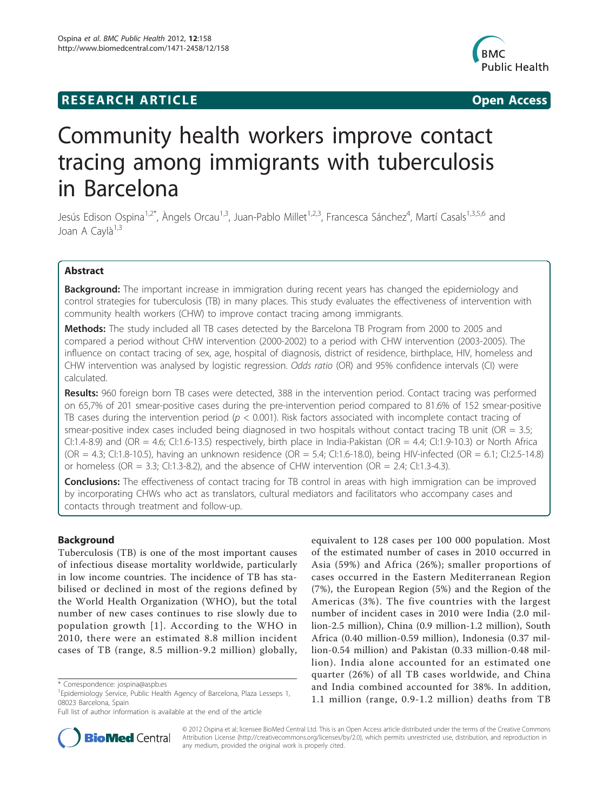# **RESEARCH ARTICLE Example 2014 CONSUMING A CONSUMING A CONSUMING A CONSUMING A CONSUMING A CONSUMING A CONSUMING A CONSUMING A CONSUMING A CONSUMING A CONSUMING A CONSUMING A CONSUMING A CONSUMING A CONSUMING A CONSUMI**



# Community health workers improve contact tracing among immigrants with tuberculosis in Barcelona

Jesús Edison Ospina<sup>1,2\*</sup>, Àngels Orcau<sup>1,3</sup>, Juan-Pablo Millet<sup>1,2,3</sup>, Francesca Sánchez<sup>4</sup>, Martí Casals<sup>1,3,5,6</sup> and Joan A Cavlà<sup>1,3</sup>

# Abstract

**Background:** The important increase in immigration during recent years has changed the epidemiology and control strategies for tuberculosis (TB) in many places. This study evaluates the effectiveness of intervention with community health workers (CHW) to improve contact tracing among immigrants.

**Methods:** The study included all TB cases detected by the Barcelona TB Program from 2000 to 2005 and compared a period without CHW intervention (2000-2002) to a period with CHW intervention (2003-2005). The influence on contact tracing of sex, age, hospital of diagnosis, district of residence, birthplace, HIV, homeless and CHW intervention was analysed by logistic regression. Odds ratio (OR) and 95% confidence intervals (CI) were calculated.

**Results:** 960 foreign born TB cases were detected, 388 in the intervention period. Contact tracing was performed on 65,7% of 201 smear-positive cases during the pre-intervention period compared to 81.6% of 152 smear-positive TB cases during the intervention period ( $p < 0.001$ ). Risk factors associated with incomplete contact tracing of smear-positive index cases included being diagnosed in two hospitals without contact tracing TB unit (OR  $= 3.5$ ; CI:1.4-8.9) and (OR = 4.6; CI:1.6-13.5) respectively, birth place in India-Pakistan (OR = 4.4; CI:1.9-10.3) or North Africa (OR = 4.3; CI:1.8-10.5), having an unknown residence (OR = 5.4; CI:1.6-18.0), being HIV-infected (OR = 6.1; CI:2.5-14.8) or homeless (OR = 3.3; CI:1.3-8.2), and the absence of CHW intervention (OR = 2.4; CI:1.3-4.3).

**Conclusions:** The effectiveness of contact tracing for TB control in areas with high immigration can be improved by incorporating CHWs who act as translators, cultural mediators and facilitators who accompany cases and contacts through treatment and follow-up.

# Background

Tuberculosis (TB) is one of the most important causes of infectious disease mortality worldwide, particularly in low income countries. The incidence of TB has stabilised or declined in most of the regions defined by the World Health Organization (WHO), but the total number of new cases continues to rise slowly due to population growth [[1](#page-7-0)]. According to the WHO in 2010, there were an estimated 8.8 million incident cases of TB (range, 8.5 million-9.2 million) globally,

equivalent to 128 cases per 100 000 population. Most of the estimated number of cases in 2010 occurred in Asia (59%) and Africa (26%); smaller proportions of cases occurred in the Eastern Mediterranean Region (7%), the European Region (5%) and the Region of the Americas (3%). The five countries with the largest number of incident cases in 2010 were India (2.0 million-2.5 million), China (0.9 million-1.2 million), South Africa (0.40 million-0.59 million), Indonesia (0.37 million-0.54 million) and Pakistan (0.33 million-0.48 million). India alone accounted for an estimated one quarter (26%) of all TB cases worldwide, and China and India combined accounted for 38%. In addition, 1.1 million (range, 0.9-1.2 million) deaths from TB



© 2012 Ospina et al; licensee BioMed Central Ltd. This is an Open Access article distributed under the terms of the Creative Commons Attribution License [\(http://creativecommons.org/licenses/by/2.0](http://creativecommons.org/licenses/by/2.0)), which permits unrestricted use, distribution, and reproduction in any medium, provided the original work is properly cited.

<sup>\*</sup> Correspondence: [jospina@aspb.es](mailto:jospina@aspb.es)

<sup>&</sup>lt;sup>1</sup> Epidemiology Service, Public Health Agency of Barcelona, Plaza Lesseps 1, 08023 Barcelona, Spain

Full list of author information is available at the end of the article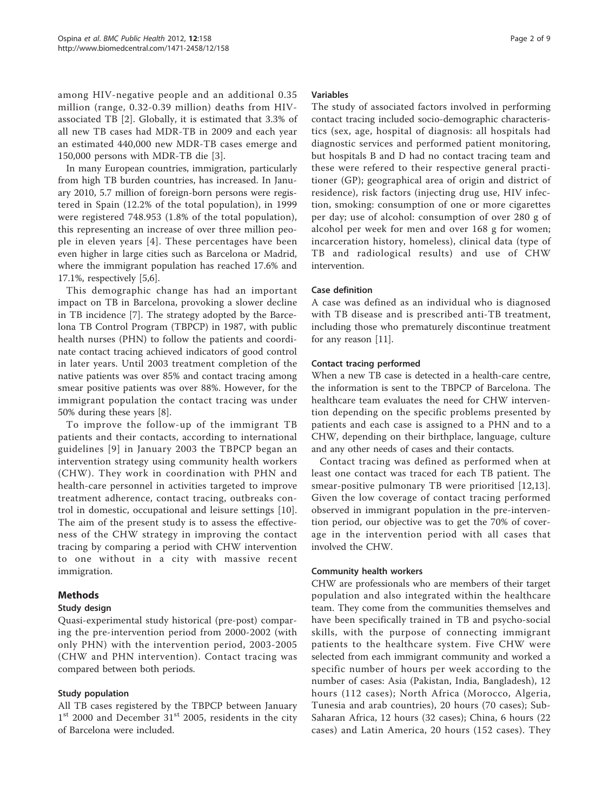among HIV-negative people and an additional 0.35 million (range, 0.32-0.39 million) deaths from HIVassociated TB [[2\]](#page-7-0). Globally, it is estimated that 3.3% of all new TB cases had MDR-TB in 2009 and each year an estimated 440,000 new MDR-TB cases emerge and 150,000 persons with MDR-TB die [\[3](#page-7-0)].

In many European countries, immigration, particularly from high TB burden countries, has increased. In January 2010, 5.7 million of foreign-born persons were registered in Spain (12.2% of the total population), in 1999 were registered 748.953 (1.8% of the total population), this representing an increase of over three million people in eleven years [[4\]](#page-7-0). These percentages have been even higher in large cities such as Barcelona or Madrid, where the immigrant population has reached 17.6% and 17.1%, respectively [\[5,6](#page-8-0)].

This demographic change has had an important impact on TB in Barcelona, provoking a slower decline in TB incidence [[7\]](#page-8-0). The strategy adopted by the Barcelona TB Control Program (TBPCP) in 1987, with public health nurses (PHN) to follow the patients and coordinate contact tracing achieved indicators of good control in later years. Until 2003 treatment completion of the native patients was over 85% and contact tracing among smear positive patients was over 88%. However, for the immigrant population the contact tracing was under 50% during these years [[8\]](#page-8-0).

To improve the follow-up of the immigrant TB patients and their contacts, according to international guidelines [[9](#page-8-0)] in January 2003 the TBPCP began an intervention strategy using community health workers (CHW). They work in coordination with PHN and health-care personnel in activities targeted to improve treatment adherence, contact tracing, outbreaks control in domestic, occupational and leisure settings [[10](#page-8-0)]. The aim of the present study is to assess the effectiveness of the CHW strategy in improving the contact tracing by comparing a period with CHW intervention to one without in a city with massive recent immigration.

# Methods

# Study design

Quasi-experimental study historical (pre-post) comparing the pre-intervention period from 2000-2002 (with only PHN) with the intervention period, 2003-2005 (CHW and PHN intervention). Contact tracing was compared between both periods.

# Study population

All TB cases registered by the TBPCP between January  $1<sup>st</sup>$  2000 and December 31 $<sup>st</sup>$  2005, residents in the city</sup> of Barcelona were included.

# Variables

The study of associated factors involved in performing contact tracing included socio-demographic characteristics (sex, age, hospital of diagnosis: all hospitals had diagnostic services and performed patient monitoring, but hospitals B and D had no contact tracing team and these were refered to their respective general practitioner (GP); geographical area of origin and district of residence), risk factors (injecting drug use, HIV infection, smoking: consumption of one or more cigarettes per day; use of alcohol: consumption of over 280 g of alcohol per week for men and over 168 g for women; incarceration history, homeless), clinical data (type of TB and radiological results) and use of CHW intervention.

# Case definition

A case was defined as an individual who is diagnosed with TB disease and is prescribed anti-TB treatment, including those who prematurely discontinue treatment for any reason [\[11\]](#page-8-0).

# Contact tracing performed

When a new TB case is detected in a health-care centre, the information is sent to the TBPCP of Barcelona. The healthcare team evaluates the need for CHW intervention depending on the specific problems presented by patients and each case is assigned to a PHN and to a CHW, depending on their birthplace, language, culture and any other needs of cases and their contacts.

Contact tracing was defined as performed when at least one contact was traced for each TB patient. The smear-positive pulmonary TB were prioritised [\[12,13](#page-8-0)]. Given the low coverage of contact tracing performed observed in immigrant population in the pre-intervention period, our objective was to get the 70% of coverage in the intervention period with all cases that involved the CHW.

# Community health workers

CHW are professionals who are members of their target population and also integrated within the healthcare team. They come from the communities themselves and have been specifically trained in TB and psycho-social skills, with the purpose of connecting immigrant patients to the healthcare system. Five CHW were selected from each immigrant community and worked a specific number of hours per week according to the number of cases: Asia (Pakistan, India, Bangladesh), 12 hours (112 cases); North Africa (Morocco, Algeria, Tunesia and arab countries), 20 hours (70 cases); Sub-Saharan Africa, 12 hours (32 cases); China, 6 hours (22 cases) and Latin America, 20 hours (152 cases). They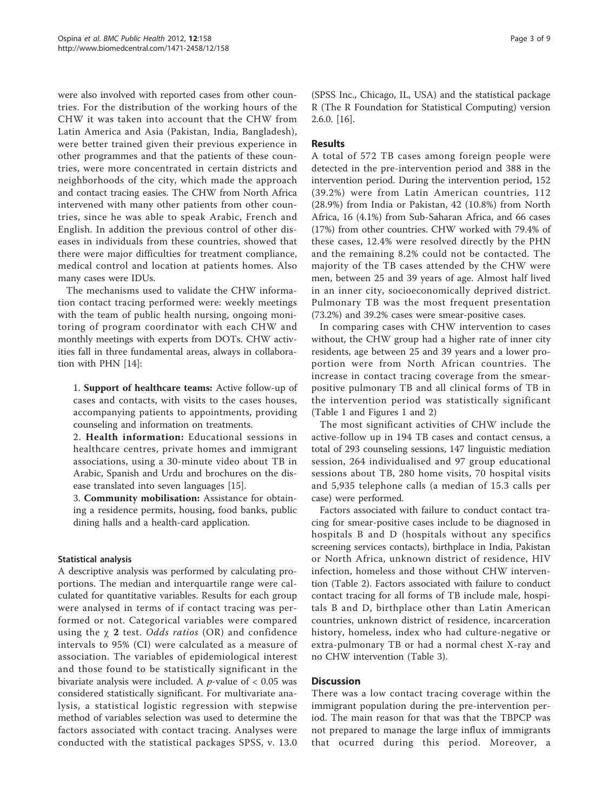were also involved with reported cases from other countries. For the distribution of the working hours of the CHW it was taken into account that the CHW from Latin America and Asia (Pakistan, India, Bangladesh), were better trained given their previous experience in other programmes and that the patients of these countries, were more concentrated in certain districts and neighborhoods of the city, which made the approach and contact tracing easies. The CHW from North Africa intervened with many other patients from other countries, since he was able to speak Arabic, French and English. In addition the previous control of other diseases in individuals from these countries, showed that there were major difficulties for treatment compliance, medical control and location at patients homes. Also many cases were IDUs.

The mechanisms used to validate the CHW information contact tracing performed were: weekly meetings with the team of public health nursing, ongoing monitoring of program coordinator with each CHW and monthly meetings with experts from DOTs. CHW activities fall in three fundamental areas, always in collaboration with PHN [[14\]](#page-8-0):

1. Support of healthcare teams: Active follow-up of cases and contacts, with visits to the cases houses, accompanying patients to appointments, providing counseling and information on treatments.

2. Health information: Educational sessions in healthcare centres, private homes and immigrant associations, using a 30-minute video about TB in Arabic, Spanish and Urdu and brochures on the disease translated into seven languages [[15\]](#page-8-0).

3. Community mobilisation: Assistance for obtaining a residence permits, housing, food banks, public dining halls and a health-card application.

# Statistical analysis

A descriptive analysis was performed by calculating proportions. The median and interquartile range were calculated for quantitative variables. Results for each group were analysed in terms of if contact tracing was performed or not. Categorical variables were compared using the  $\chi$  2 test. Odds ratios (OR) and confidence intervals to 95% (CI) were calculated as a measure of association. The variables of epidemiological interest and those found to be statistically significant in the bivariate analysis were included. A  $p$ -value of  $< 0.05$  was considered statistically significant. For multivariate analysis, a statistical logistic regression with stepwise method of variables selection was used to determine the factors associated with contact tracing. Analyses were conducted with the statistical packages SPSS, v. 13.0

(SPSS Inc., Chicago, IL, USA) and the statistical package R (The R Foundation for Statistical Computing) version 2.6.0. [\[16\]](#page-8-0).

# Results

A total of 572 TB cases among foreign people were detected in the pre-intervention period and 388 in the intervention period. During the intervention period, 152 (39.2%) were from Latin American countries, 112 (28.9%) from India or Pakistan, 42 (10.8%) from North Africa, 16 (4.1%) from Sub-Saharan Africa, and 66 cases (17%) from other countries. CHW worked with 79.4% of these cases, 12.4% were resolved directly by the PHN and the remaining 8.2% could not be contacted. The majority of the TB cases attended by the CHW were men, between 25 and 39 years of age. Almost half lived in an inner city, socioeconomically deprived district. Pulmonary TB was the most frequent presentation (73.2%) and 39.2% cases were smear-positive cases.

In comparing cases with CHW intervention to cases without, the CHW group had a higher rate of inner city residents, age between 25 and 39 years and a lower proportion were from North African countries. The increase in contact tracing coverage from the smearpositive pulmonary TB and all clinical forms of TB in the intervention period was statistically significant (Table [1](#page-3-0) and Figures [1](#page-3-0) and [2](#page-4-0))

The most significant activities of CHW include the active-follow up in 194 TB cases and contact census, a total of 293 counseling sessions, 147 linguistic mediation session, 264 individualised and 97 group educational sessions about TB, 280 home visits, 70 hospital visits and 5,935 telephone calls (a median of 15.3 calls per case) were performed.

Factors associated with failure to conduct contact tracing for smear-positive cases include to be diagnosed in hospitals B and D (hospitals without any specifics screening services contacts), birthplace in India, Pakistan or North Africa, unknown district of residence, HIV infection, homeless and those without CHW intervention (Table [2](#page-5-0)). Factors associated with failure to conduct contact tracing for all forms of TB include male, hospitals B and D, birthplace other than Latin American countries, unknown district of residence, incarceration history, homeless, index who had culture-negative or extra-pulmonary TB or had a normal chest X-ray and no CHW intervention (Table [3\)](#page-6-0).

## **Discussion**

There was a low contact tracing coverage within the immigrant population during the pre-intervention period. The main reason for that was that the TBPCP was not prepared to manage the large influx of immigrants that ocurred during this period. Moreover, a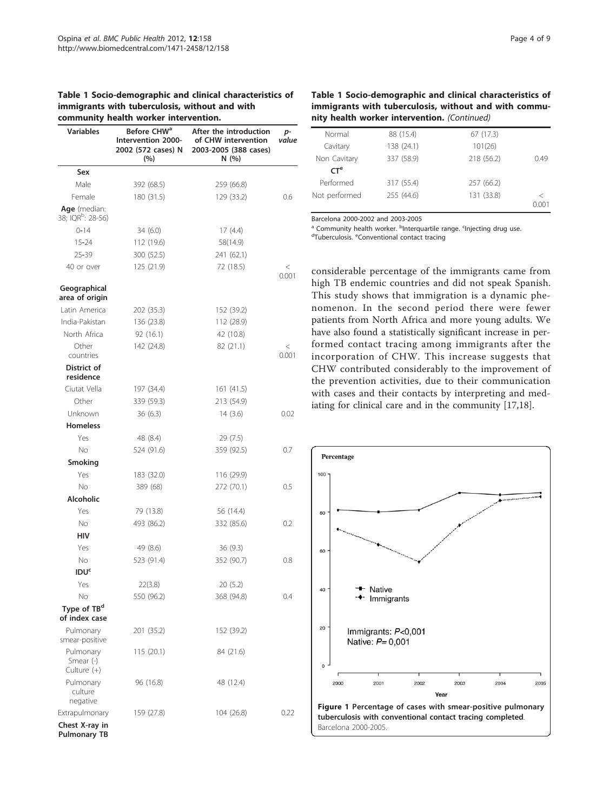# <span id="page-3-0"></span>Table 1 Socio-demographic and clinical characteristics of immigrants with tuberculosis, without and with

|                                               | community health worker intervention.                                      |                                                                                |                |  |  |
|-----------------------------------------------|----------------------------------------------------------------------------|--------------------------------------------------------------------------------|----------------|--|--|
| <b>Variables</b>                              | Before CHW <sup>a</sup><br>Intervention 2000-<br>2002 (572 cases) N<br>(%) | After the introduction<br>of CHW intervention<br>2003-2005 (388 cases)<br>N(%) | p-<br>value    |  |  |
| Sex                                           |                                                                            |                                                                                |                |  |  |
| Male                                          | 392 (68.5)                                                                 | 259 (66.8)                                                                     |                |  |  |
| Female                                        | 180 (31.5)                                                                 | 129 (33.2)                                                                     | 0.6            |  |  |
| Age (median:<br>38; IQR <sup>b</sup> : 28-56) |                                                                            |                                                                                |                |  |  |
| $0 - 14$                                      | 34(6.0)                                                                    | 17(4.4)                                                                        |                |  |  |
| $15 - 24$                                     | 112 (19.6)                                                                 | 58(14.9)                                                                       |                |  |  |
| 25-39                                         | 300 (52.5)                                                                 | 241 (62.1)                                                                     |                |  |  |
| 40 or over                                    | 125 (21.9)                                                                 | 72 (18.5)                                                                      | $\,<$<br>0.001 |  |  |
| Geographical<br>area of origin                |                                                                            |                                                                                |                |  |  |
| Latin America                                 | 202 (35.3)                                                                 | 152 (39.2)                                                                     |                |  |  |
| India-Pakistan                                | 136 (23.8)                                                                 | 112 (28.9)                                                                     |                |  |  |
| North Africa                                  | 92(16.1)                                                                   | 42 (10.8)                                                                      |                |  |  |
| Other<br>countries                            | 142 (24.8)                                                                 | 82 (21.1)                                                                      | $\,<$<br>0.001 |  |  |
| District of<br>residence                      |                                                                            |                                                                                |                |  |  |
| Ciutat Vella                                  | 197 (34.4)                                                                 | 161(41.5)                                                                      |                |  |  |
| Other                                         | 339 (59.3)                                                                 | 213 (54.9)                                                                     |                |  |  |
| Unknown                                       | 36(6.3)                                                                    | 14(3.6)                                                                        | 0.02           |  |  |
| <b>Homeless</b>                               |                                                                            |                                                                                |                |  |  |
| Yes                                           | 48 (8.4)                                                                   | 29 (7.5)                                                                       |                |  |  |
| <b>No</b>                                     | 524 (91.6)                                                                 | 359 (92.5)                                                                     | 0.7            |  |  |
| Smoking                                       |                                                                            |                                                                                |                |  |  |
| Yes                                           | 183 (32.0)                                                                 | 116 (29.9)                                                                     |                |  |  |
| <b>No</b>                                     | 389 (68)                                                                   | 272 (70.1)                                                                     | 0.5            |  |  |
| Alcoholic                                     |                                                                            |                                                                                |                |  |  |
| Yes                                           | 79 (13.8)                                                                  | 56 (14.4)                                                                      |                |  |  |
| No                                            | 493 (86.2)                                                                 | 332 (85.6)                                                                     | 0.2            |  |  |
| HIV                                           |                                                                            |                                                                                |                |  |  |
| Yes                                           | 49 (8.6)                                                                   | 36(9.3)                                                                        |                |  |  |
| No                                            | 523 (91.4)                                                                 | 352 (90.7)                                                                     | 0.8            |  |  |
| <b>IDU<sup>c</sup></b>                        |                                                                            |                                                                                |                |  |  |
| Yes                                           | 22(3.8)                                                                    | 20(5.2)                                                                        |                |  |  |
| No                                            | 550 (96.2)                                                                 | 368 (94.8)                                                                     | 0.4            |  |  |
| Type of TB <sup>d</sup><br>of index case      |                                                                            |                                                                                |                |  |  |
| Pulmonary<br>smear-positive                   | 201 (35.2)                                                                 | 152 (39.2)                                                                     |                |  |  |
| Pulmonary<br>Smear $(-)$<br>Culture (+)       | 115(20.1)                                                                  | 84 (21.6)                                                                      |                |  |  |
| Pulmonary<br>culture<br>negative              | 96 (16.8)                                                                  | 48 (12.4)                                                                      |                |  |  |
| Extrapulmonary                                | 159 (27.8)                                                                 | 104 (26.8)                                                                     | 0.22           |  |  |
| Chest X-ray in<br><b>Pulmonary TB</b>         |                                                                            |                                                                                |                |  |  |

# Table 1 Socio-demographic and clinical characteristics of immigrants with tuberculosis, without and with community health worker intervention. (Continued)

| Normal          | 88 (15.4)  | 67 (17.3)  |       |
|-----------------|------------|------------|-------|
| Cavitary        | 138 (24.1) | 101(26)    |       |
| Non Cavitary    | 337 (58.9) | 218 (56.2) | 0.49  |
| CT <sup>e</sup> |            |            |       |
| Performed       | 317 (55.4) | 257 (66.2) |       |
| Not performed   | 255 (44.6) | 131 (33.8) | ✓     |
|                 |            |            | 0.001 |

Barcelona 2000-2002 and 2003-2005

<sup>a</sup> Community health worker. <sup>b</sup>Interquartile range. <sup>c</sup>Injecting drug use.<br><sup>d</sup>Tuberculosis, <sup>e</sup>Conventional contact tracing

Tuberculosis. <sup>e</sup>Conventional contact tracing

considerable percentage of the immigrants came from high TB endemic countries and did not speak Spanish. This study shows that immigration is a dynamic phenomenon. In the second period there were fewer patients from North Africa and more young adults. We have also found a statistically significant increase in performed contact tracing among immigrants after the incorporation of CHW. This increase suggests that CHW contributed considerably to the improvement of the prevention activities, due to their communication with cases and their contacts by interpreting and mediating for clinical care and in the community [[17,18](#page-8-0)].

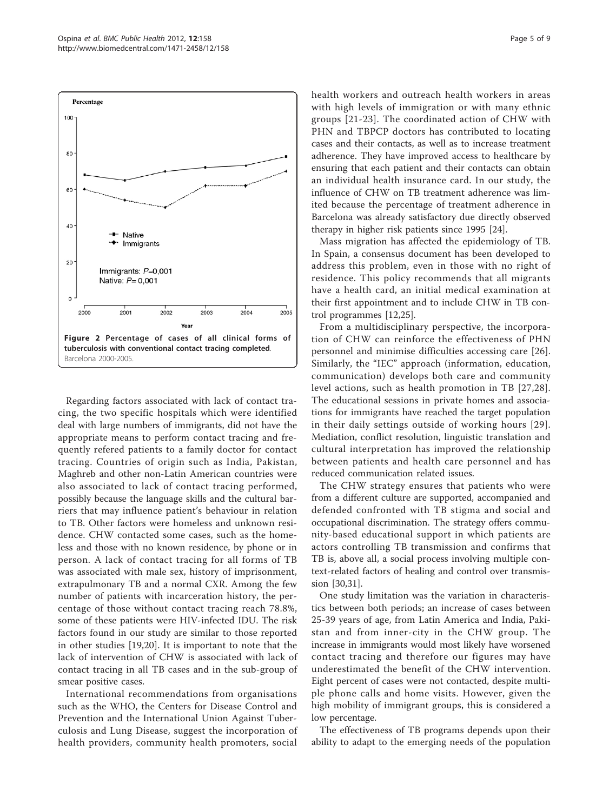<span id="page-4-0"></span>

Regarding factors associated with lack of contact tracing, the two specific hospitals which were identified deal with large numbers of immigrants, did not have the appropriate means to perform contact tracing and frequently refered patients to a family doctor for contact tracing. Countries of origin such as India, Pakistan, Maghreb and other non-Latin American countries were also associated to lack of contact tracing performed, possibly because the language skills and the cultural barriers that may influence patient's behaviour in relation to TB. Other factors were homeless and unknown residence. CHW contacted some cases, such as the homeless and those with no known residence, by phone or in person. A lack of contact tracing for all forms of TB was associated with male sex, history of imprisonment, extrapulmonary TB and a normal CXR. Among the few number of patients with incarceration history, the percentage of those without contact tracing reach 78.8%, some of these patients were HIV-infected IDU. The risk factors found in our study are similar to those reported in other studies [[19,20\]](#page-8-0). It is important to note that the lack of intervention of CHW is associated with lack of contact tracing in all TB cases and in the sub-group of smear positive cases.

International recommendations from organisations such as the WHO, the Centers for Disease Control and Prevention and the International Union Against Tuberculosis and Lung Disease, suggest the incorporation of health providers, community health promoters, social health workers and outreach health workers in areas with high levels of immigration or with many ethnic groups [[21](#page-8-0)-[23](#page-8-0)]. The coordinated action of CHW with PHN and TBPCP doctors has contributed to locating cases and their contacts, as well as to increase treatment adherence. They have improved access to healthcare by ensuring that each patient and their contacts can obtain an individual health insurance card. In our study, the influence of CHW on TB treatment adherence was limited because the percentage of treatment adherence in Barcelona was already satisfactory due directly observed therapy in higher risk patients since 1995 [[24](#page-8-0)].

Mass migration has affected the epidemiology of TB. In Spain, a consensus document has been developed to address this problem, even in those with no right of residence. This policy recommends that all migrants have a health card, an initial medical examination at their first appointment and to include CHW in TB control programmes [[12,25\]](#page-8-0).

From a multidisciplinary perspective, the incorporation of CHW can reinforce the effectiveness of PHN personnel and minimise difficulties accessing care [[26](#page-8-0)]. Similarly, the "IEC" approach (information, education, communication) develops both care and community level actions, such as health promotion in TB [[27](#page-8-0),[28\]](#page-8-0). The educational sessions in private homes and associations for immigrants have reached the target population in their daily settings outside of working hours [\[29\]](#page-8-0). Mediation, conflict resolution, linguistic translation and cultural interpretation has improved the relationship between patients and health care personnel and has reduced communication related issues.

The CHW strategy ensures that patients who were from a different culture are supported, accompanied and defended confronted with TB stigma and social and occupational discrimination. The strategy offers community-based educational support in which patients are actors controlling TB transmission and confirms that TB is, above all, a social process involving multiple context-related factors of healing and control over transmission [[30,31\]](#page-8-0).

One study limitation was the variation in characteristics between both periods; an increase of cases between 25-39 years of age, from Latin America and India, Pakistan and from inner-city in the CHW group. The increase in immigrants would most likely have worsened contact tracing and therefore our figures may have underestimated the benefit of the CHW intervention. Eight percent of cases were not contacted, despite multiple phone calls and home visits. However, given the high mobility of immigrant groups, this is considered a low percentage.

The effectiveness of TB programs depends upon their ability to adapt to the emerging needs of the population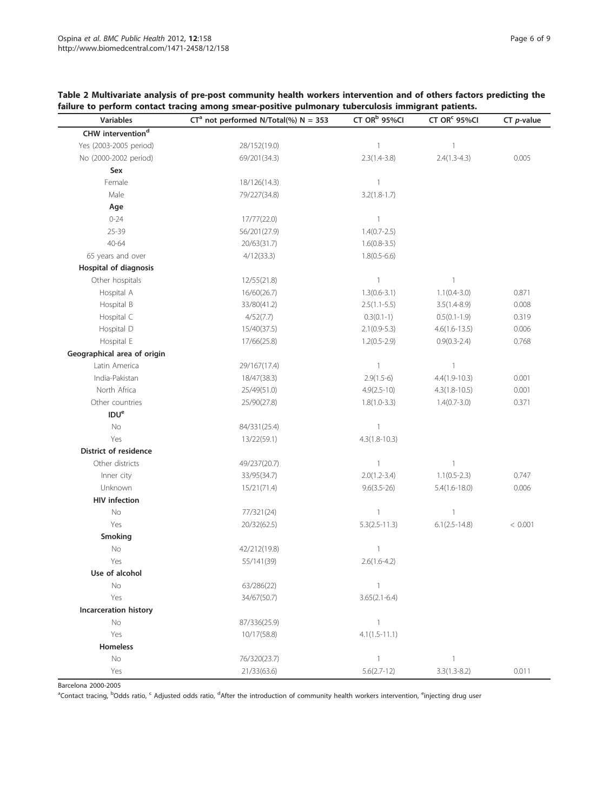<span id="page-5-0"></span>

| Table 2 Multivariate analysis of pre-post community health workers intervention and of others factors predicting the |
|----------------------------------------------------------------------------------------------------------------------|
| failure to perform contact tracing among smear-positive pulmonary tuberculosis immigrant patients.                   |

| Variables                     | $CT^a$ not performed N/Total(%) N = 353 | CT OR <sup>b</sup> 95%CI | CT OR <sup>c</sup> 95%Cl | $CT$ <i>p</i> -value |
|-------------------------------|-----------------------------------------|--------------------------|--------------------------|----------------------|
| CHW intervention <sup>d</sup> |                                         |                          |                          |                      |
| Yes (2003-2005 period)        | 28/152(19.0)                            | $\mathbf{1}$             | $\mathbf{1}$             |                      |
| No (2000-2002 period)         | 69/201(34.3)                            | $2.3(1.4-3.8)$           | $2.4(1.3 - 4.3)$         | 0.005                |
| Sex                           |                                         |                          |                          |                      |
| Female                        | 18/126(14.3)                            | $\mathbf{1}$             |                          |                      |
| Male                          | 79/227(34.8)                            | $3.2(1.8-1.7)$           |                          |                      |
| Age                           |                                         |                          |                          |                      |
| $0 - 24$                      | 17/77(22.0)                             | $\overline{1}$           |                          |                      |
| 25-39                         | 56/201(27.9)                            | $1.4(0.7 - 2.5)$         |                          |                      |
| 40-64                         | 20/63(31.7)                             | $1.6(0.8-3.5)$           |                          |                      |
| 65 years and over             | 4/12(33.3)                              | $1.8(0.5-6.6)$           |                          |                      |
| <b>Hospital of diagnosis</b>  |                                         |                          |                          |                      |
| Other hospitals               | 12/55(21.8)                             | $\overline{1}$           | 1                        |                      |
| Hospital A                    | 16/60(26.7)                             | $1.3(0.6-3.1)$           | $1.1(0.4 - 3.0)$         | 0.871                |
| Hospital B                    | 33/80(41.2)                             | $2.5(1.1-5.5)$           | $3.5(1.4-8.9)$           | 0.008                |
| Hospital C                    | 4/52(7.7)                               | $0.3(0.1-1)$             | $0.5(0.1-1.9)$           | 0.319                |
| Hospital D                    | 15/40(37.5)                             | $2.1(0.9-5.3)$           | $4.6(1.6 - 13.5)$        | 0.006                |
| Hospital E                    | 17/66(25.8)                             | $1.2(0.5-2.9)$           | $0.9(0.3 - 2.4)$         | 0.768                |
| Geographical area of origin   |                                         |                          |                          |                      |
| Latin America                 | 29/167(17.4)                            | $\mathbf{1}$             | $\mathbf{1}$             |                      |
| India-Pakistan                | 18/47(38.3)                             | $2.9(1.5-6)$             | $4.4(1.9-10.3)$          | 0.001                |
| North Africa                  | 25/49(51.0)                             | $4.9(2.5-10)$            | $4.3(1.8-10.5)$          | 0.001                |
| Other countries               | 25/90(27.8)                             | $1.8(1.0-3.3)$           | $1.4(0.7 - 3.0)$         | 0.371                |
| <b>IDU<sup>e</sup></b>        |                                         |                          |                          |                      |
| No                            | 84/331(25.4)                            | $\overline{\phantom{a}}$ |                          |                      |
| Yes                           | 13/22(59.1)                             | $4.3(1.8 - 10.3)$        |                          |                      |
| <b>District of residence</b>  |                                         |                          |                          |                      |
| Other districts               | 49/237(20.7)                            | $\mathbf{1}$             | $\mathbb{1}$             |                      |
| Inner city                    | 33/95(34.7)                             | $2.0(1.2 - 3.4)$         | $1.1(0.5-2.3)$           | 0.747                |
| Unknown                       | 15/21(71.4)                             | $9.6(3.5 - 26)$          | $5.4(1.6 - 18.0)$        | 0.006                |
| <b>HIV</b> infection          |                                         |                          |                          |                      |
| No                            | 77/321(24)                              | $\mathbf{1}$             | $\mathbb{1}$             |                      |
| Yes                           | 20/32(62.5)                             | $5.3(2.5 - 11.3)$        | $6.1(2.5-14.8)$          | < 0.001              |
| Smoking                       |                                         |                          |                          |                      |
| No                            | 42/212(19.8)                            | $\mathbf{1}$             |                          |                      |
| Yes                           | 55/141(39)                              | $2.6(1.6-4.2)$           |                          |                      |
| Use of alcohol                |                                         |                          |                          |                      |
| No                            | 63/286(22)                              | $\overline{1}$           |                          |                      |
| Yes                           | 34/67(50.7)                             | $3.65(2.1-6.4)$          |                          |                      |
| Incarceration history         |                                         |                          |                          |                      |
| No                            | 87/336(25.9)                            | $\overline{1}$           |                          |                      |
| Yes                           | 10/17(58.8)                             | $4.1(1.5 - 11.1)$        |                          |                      |
| Homeless                      |                                         |                          |                          |                      |
| No                            | 76/320(23.7)                            | $\overline{1}$           | $\mathbf{1}$             |                      |
| Yes                           | 21/33(63.6)                             | $5.6(2.7-12)$            | $3.3(1.3 - 8.2)$         | 0.011                |

Barcelona 2000-2005

<sup>a</sup>Contact tracing, <sup>b</sup>Odds ratio, <sup>c</sup> Adjusted odds ratio, <sup>d</sup>After the introduction of community health workers intervention, <sup>e</sup>injecting drug user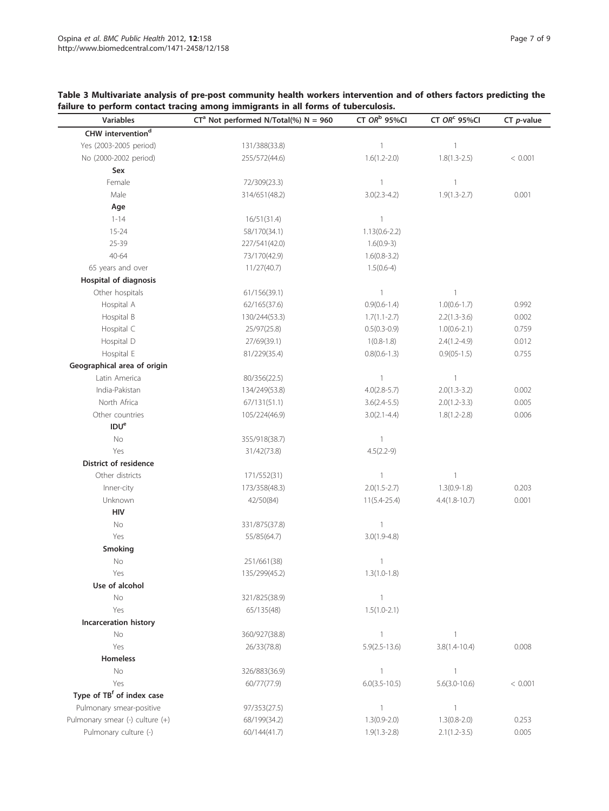# <span id="page-6-0"></span>Table 3 Multivariate analysis of pre-post community health workers intervention and of others factors predicting the failure to perform contact tracing among immigrants in all forms of tuberculosis.

| <b>Variables</b>                      | $CT^a$ Not performed N/Total(%) N = 960 | CT $ORb$ 95%CI    | CT OR <sup>c</sup> 95%CI | $CT$ <i>p</i> -value |
|---------------------------------------|-----------------------------------------|-------------------|--------------------------|----------------------|
| CHW intervention <sup>d</sup>         |                                         |                   |                          |                      |
| Yes (2003-2005 period)                | 131/388(33.8)                           | $\mathbf{1}$      | $\mathbf{1}$             |                      |
| No (2000-2002 period)                 | 255/572(44.6)                           | $1.6(1.2 - 2.0)$  | $1.8(1.3 - 2.5)$         | < 0.001              |
| Sex                                   |                                         |                   |                          |                      |
| Female                                | 72/309(23.3)                            | $\mathbf{1}$      | $\overline{1}$           |                      |
| Male                                  | 314/651(48.2)                           | $3.0(2.3-4.2)$    | $1.9(1.3 - 2.7)$         | 0.001                |
| Age                                   |                                         |                   |                          |                      |
| $1 - 14$                              | 16/51(31.4)                             | $\mathbf{1}$      |                          |                      |
| $15 - 24$                             | 58/170(34.1)                            | $1.13(0.6 - 2.2)$ |                          |                      |
| 25-39                                 | 227/541(42.0)                           | $1.6(0.9-3)$      |                          |                      |
| 40-64                                 | 73/170(42.9)                            | $1.6(0.8-3.2)$    |                          |                      |
| 65 years and over                     | 11/27(40.7)                             | $1.5(0.6-4)$      |                          |                      |
| <b>Hospital of diagnosis</b>          |                                         |                   |                          |                      |
| Other hospitals                       | 61/156(39.1)                            | $\mathbf{1}$      | $\mathbf{1}$             |                      |
| Hospital A                            | 62/165(37.6)                            | $0.9(0.6 - 1.4)$  | $1.0(0.6 - 1.7)$         | 0.992                |
| Hospital B                            | 130/244(53.3)                           | $1.7(1.1 - 2.7)$  | $2.2(1.3-3.6)$           | 0.002                |
| Hospital C                            | 25/97(25.8)                             | $0.5(0.3-0.9)$    | $1.0(0.6-2.1)$           | 0.759                |
| Hospital D                            | 27/69(39.1)                             | $1(0.8-1.8)$      | $2.4(1.2 - 4.9)$         | 0.012                |
| Hospital E                            | 81/229(35.4)                            | $0.8(0.6-1.3)$    | $0.9(05-1.5)$            | 0.755                |
| Geographical area of origin           |                                         |                   |                          |                      |
| Latin America                         | 80/356(22.5)                            | $\mathbf{1}$      | $\mathbf{1}$             |                      |
| India-Pakistan                        | 134/249(53.8)                           | $4.0(2.8-5.7)$    | $2.0(1.3-3.2)$           | 0.002                |
| North Africa                          | 67/131(51.1)                            | $3.6(2.4 - 5.5)$  | $2.0(1.2-3.3)$           | 0.005                |
| Other countries                       | 105/224(46.9)                           | $3.0(2.1 - 4.4)$  | $1.8(1.2 - 2.8)$         | 0.006                |
| IDU <sup>e</sup>                      |                                         |                   |                          |                      |
| No                                    | 355/918(38.7)                           | $\mathbf{1}$      |                          |                      |
| Yes                                   | 31/42(73.8)                             | $4.5(2.2-9)$      |                          |                      |
| District of residence                 |                                         |                   |                          |                      |
| Other districts                       | 171/552(31)                             | $\mathbf{1}$      | $\mathbf{1}$             |                      |
| Inner-city                            | 173/358(48.3)                           | $2.0(1.5-2.7)$    | $1.3(0.9-1.8)$           | 0.203                |
| Unknown                               | 42/50(84)                               | $11(5.4 - 25.4)$  | $4.4(1.8 - 10.7)$        | 0.001                |
| HIV                                   |                                         |                   |                          |                      |
| No                                    | 331/875(37.8)                           | $\mathbf{1}$      |                          |                      |
| Yes                                   | 55/85(64.7)                             | $3.0(1.9-4.8)$    |                          |                      |
| Smoking                               |                                         |                   |                          |                      |
| No                                    | 251/661(38)                             | $\mathbf{1}$      |                          |                      |
| Yes                                   | 135/299(45.2)                           | $1.3(1.0-1.8)$    |                          |                      |
| Use of alcohol                        |                                         |                   |                          |                      |
| $\rm No$                              | 321/825(38.9)                           | $\mathbf{1}$      |                          |                      |
| Yes                                   | 65/135(48)                              | $1.5(1.0-2.1)$    |                          |                      |
| Incarceration history                 |                                         |                   |                          |                      |
| No                                    | 360/927(38.8)                           | $\mathbf{1}$      | $\overline{1}$           |                      |
| Yes                                   | 26/33(78.8)                             | $5.9(2.5 - 13.6)$ | $3.8(1.4 - 10.4)$        | 0.008                |
| <b>Homeless</b>                       |                                         |                   |                          |                      |
| No                                    | 326/883(36.9)                           | $\mathbf{1}$      | $\mathbf{1}$             |                      |
| Yes                                   | 60/77(77.9)                             | $6.0(3.5 - 10.5)$ | $5.6(3.0-10.6)$          | < 0.001              |
| Type of TB <sup>f</sup> of index case |                                         |                   |                          |                      |
| Pulmonary smear-positive              | 97/353(27.5)                            | $\mathbf{1}$      | $\mathbf{1}$             |                      |
| Pulmonary smear (-) culture (+)       | 68/199(34.2)                            | $1.3(0.9-2.0)$    | $1.3(0.8-2.0)$           | 0.253                |
| Pulmonary culture (-)                 | 60/144(41.7)                            | $1.9(1.3-2.8)$    | $2.1(1.2-3.5)$           | 0.005                |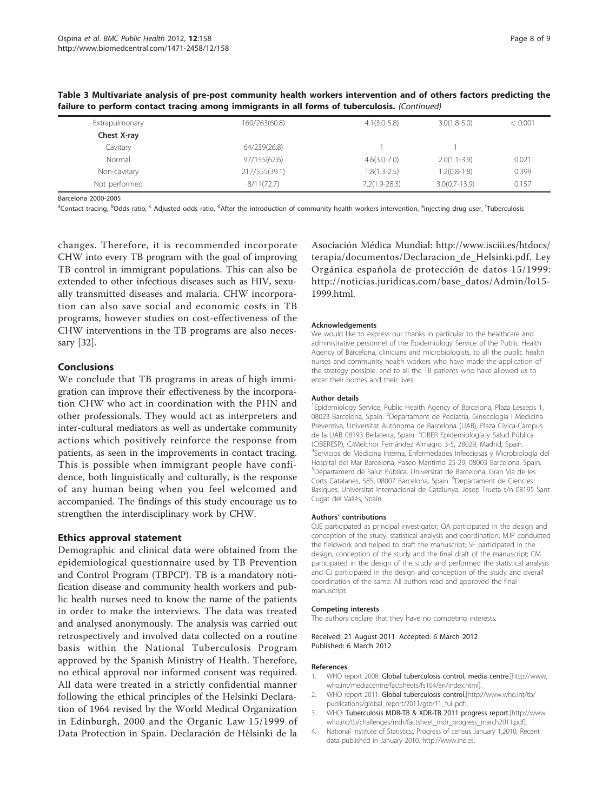| Extrapulmonary | 160/263(60.8) | $4.1(3.0-5.8)$  | $3.0(1.8-5.0)$    | < 0.001 |
|----------------|---------------|-----------------|-------------------|---------|
| Chest X-ray    |               |                 |                   |         |
| Cavitary       | 64/239(26.8)  |                 |                   |         |
| Normal         | 97/155(62.6)  | $4.6(3.0-7.0)$  | $2.0(1.1-3.9)$    | 0.021   |
| Non-cavitary   | 217/555(39.1) | $1.8(1.3-2.5)$  | $1.2(0.8-1.8)$    | 0.399   |
| Not performed  | 8/11(72.7)    | $7.2(1.9-28.3)$ | $3.0(0.7 - 13.9)$ | 0.157   |

<span id="page-7-0"></span>Table 3 Multivariate analysis of pre-post community health workers intervention and of others factors predicting the failure to perform contact tracing among immigrants in all forms of tuberculosis. (Continued)

Barcelona 2000-2005

<sup>a</sup>Contact tracing, <sup>b</sup>Odds ratio, <sup>c</sup> Adjusted odds ratio, <sup>d</sup>After the introduction of community health workers intervention, <sup>e</sup>injecting drug user, <sup>f</sup>Tuberculosis

changes. Therefore, it is recommended incorporate CHW into every TB program with the goal of improving TB control in immigrant populations. This can also be extended to other infectious diseases such as HIV, sexually transmitted diseases and malaria. CHW incorporation can also save social and economic costs in TB programs, however studies on cost-effectiveness of the CHW interventions in the TB programs are also necessary [\[32](#page-8-0)].

## Conclusions

We conclude that TB programs in areas of high immigration can improve their effectiveness by the incorporation CHW who act in coordination with the PHN and other professionals. They would act as interpreters and inter-cultural mediators as well as undertake community actions which positively reinforce the response from patients, as seen in the improvements in contact tracing. This is possible when immigrant people have confidence, both linguistically and culturally, is the response of any human being when you feel welcomed and accompanied. The findings of this study encourage us to strengthen the interdisciplinary work by CHW.

### Ethics approval statement

Demographic and clinical data were obtained from the epidemiological questionnaire used by TB Prevention and Control Program (TBPCP). TB is a mandatory notification disease and community health workers and public health nurses need to know the name of the patients in order to make the interviews. The data was treated and analysed anonymously. The analysis was carried out retrospectively and involved data collected on a routine basis within the National Tuberculosis Program approved by the Spanish Ministry of Health. Therefore, no ethical approval nor informed consent was required. All data were treated in a strictly confidential manner following the ethical principles of the Helsinki Declaration of 1964 revised by the World Medical Organization in Edinburgh, 2000 and the Organic Law 15/1999 of Data Protection in Spain. Declaración de Hèlsinki de la Asociación Médica Mundial: [http://www.isciii.es/htdocs/](http://www.isciii.es/htdocs/terapia/documentos/Declaracion_de_Helsinki.pdf) [terapia/documentos/Declaracion\\_de\\_Helsinki.pdf.](http://www.isciii.es/htdocs/terapia/documentos/Declaracion_de_Helsinki.pdf) Ley Orgánica española de protección de datos 15/1999: [http://noticias.juridicas.com/base\\_datos/Admin/lo15-](http://noticias.juridicas.com/base_datos/Admin/lo15-1999.html) [1999.html](http://noticias.juridicas.com/base_datos/Admin/lo15-1999.html).

### Acknowledgements

We would like to express our thanks in particular to the healthcare and administrative personnel of the Epidemiology Service of the Public Health Agency of Barcelona, clinicians and microbiologists, to all the public health nurses and community health workers who have made the application of the strategy possible, and to all the TB patients who have allowed us to enter their homes and their lives.

### Author details

<sup>1</sup> Epidemiology Service, Public Health Agency of Barcelona, Plaza Lesseps 1, 08023 Barcelona, Spain. <sup>2</sup>Departament de Pediatria, Ginecologia i Medicina Preventiva, Universitat Autònoma de Barcelona (UAB), Plaza Cívica-Campus de la UAB 08193 Bellaterra, Spain. <sup>3</sup>CIBER Epidemiología y Salud Pública (CIBERESP), C/Melchor Fernández Almagro 3-5, 28029, Madrid, Spain. 4 Servicios de Medicina Interna, Enfermedades Infecciosas y Microbiología del Hospital del Mar Barcelona, Paseo Marítimo 25-29, 08003 Barcelona, Spain. 5 Departament de Salut Pública, Universitat de Barcelona, Gran Via de les Corts Catalanes, 585, 08007 Barcelona, Spain. <sup>6</sup>Departament de Ciencies Basiques, Universitat Internacional de Catalunya, Josep Trueta s/n 08195 Sant Cugat del Vallés, Spain.

### Authors' contributions

OJE participated as principal investigator; OA participated in the design and conception of the study, statistical analysis and coordination; MJP conducted the fieldwork and helped to draft the manuscript; SF participated in the design, conception of the study and the final draft of the manuscript; CM participated in the design of the study and performed the statistical analysis and CJ participated in the design and conception of the study and overall coordination of the same. All authors read and approved the final manuscript.

### Competing interests

The authors declare that they have no competing interests.

Received: 21 August 2011 Accepted: 6 March 2012 Published: 6 March 2012

### References

- 1. WHO report 2008: Global tuberculosis control, media centre.[[http://www.](http://www.who.int/mediacentre/factsheets/fs104/en/index.html) [who.int/mediacentre/factsheets/fs104/en/index.html](http://www.who.int/mediacentre/factsheets/fs104/en/index.html)].
- 2. WHO report 2011: Global tuberculosis control.[[http://www.who.int/tb/](http://www.who.int/tb/publications/global_report/2011/gtbr11_full.pdf) [publications/global\\_report/2011/gtbr11\\_full.pdf\]](http://www.who.int/tb/publications/global_report/2011/gtbr11_full.pdf).
- 3. WHO: Tuberculosis MDR-TB & XDR-TB 2011 progress report.[\[http://www.](http://www.who.int/tb/challenges/mdr/factsheet_mdr_progress_march2011.pdf) [who.int/tb/challenges/mdr/factsheet\\_mdr\\_progress\\_march2011.pdf\]](http://www.who.int/tb/challenges/mdr/factsheet_mdr_progress_march2011.pdf).
- 4. National Institute of Statistics:, Progress of census January 1,2010. Recent data published in January 2010. http://www.ine.es.